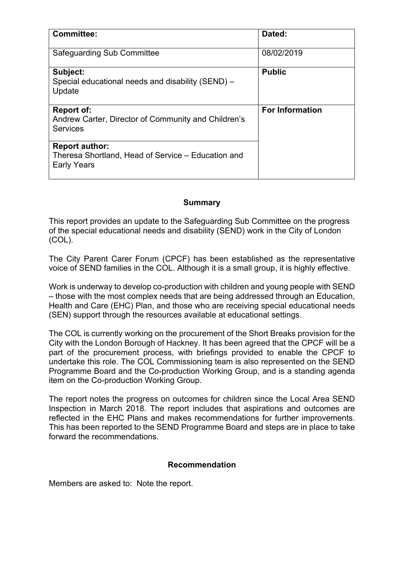| <b>Committee:</b>                                                                                 | Dated:                 |
|---------------------------------------------------------------------------------------------------|------------------------|
| Safeguarding Sub Committee                                                                        | 08/02/2019             |
| Subject:<br>Special educational needs and disability (SEND) –<br>Update                           | <b>Public</b>          |
| <b>Report of:</b><br>Andrew Carter, Director of Community and Children's<br><b>Services</b>       | <b>For Information</b> |
| <b>Report author:</b><br>Theresa Shortland, Head of Service - Education and<br><b>Early Years</b> |                        |

#### **Summary**

This report provides an update to the Safeguarding Sub Committee on the progress of the special educational needs and disability (SEND) work in the City of London (COL).

The City Parent Carer Forum (CPCF) has been established as the representative voice of SEND families in the COL. Although it is a small group, it is highly effective.

Work is underway to develop co-production with children and young people with SEND – those with the most complex needs that are being addressed through an Education, Health and Care (EHC) Plan, and those who are receiving special educational needs (SEN) support through the resources available at educational settings.

The COL is currently working on the procurement of the Short Breaks provision for the City with the London Borough of Hackney. It has been agreed that the CPCF will be a part of the procurement process, with briefings provided to enable the CPCF to undertake this role. The COL Commissioning team is also represented on the SEND Programme Board and the Co-production Working Group, and is a standing agenda item on the Co-production Working Group.

The report notes the progress on outcomes for children since the Local Area SEND Inspection in March 2018. The report includes that aspirations and outcomes are reflected in the EHC Plans and makes recommendations for further improvements. This has been reported to the SEND Programme Board and steps are in place to take forward the recommendations.

## **Recommendation**

Members are asked to: Note the report.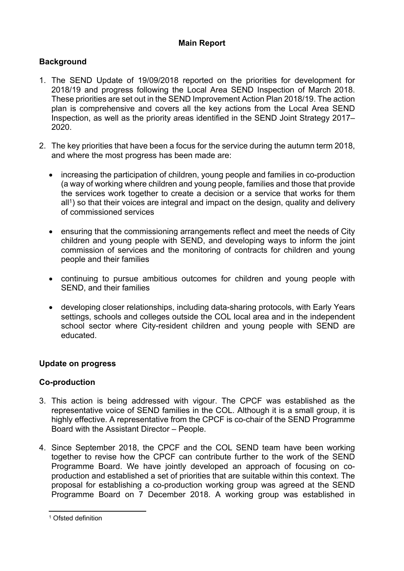# **Main Report**

# **Background**

- 1. The SEND Update of 19/09/2018 reported on the priorities for development for 2018/19 and progress following the Local Area SEND Inspection of March 2018. These priorities are set out in the SEND Improvement Action Plan 2018/19. The action plan is comprehensive and covers all the key actions from the Local Area SEND Inspection, as well as the priority areas identified in the SEND Joint Strategy 2017– 2020.
- 2. The key priorities that have been a focus for the service during the autumn term 2018, and where the most progress has been made are:
	- increasing the participation of children, young people and families in co-production (a way of working where children and young people, families and those that provide the services work together to create a decision or a service that works for them all<sup>1</sup>) so that their voices are integral and impact on the design, quality and delivery of commissioned services
	- ensuring that the commissioning arrangements reflect and meet the needs of City children and young people with SEND, and developing ways to inform the joint commission of services and the monitoring of contracts for children and young people and their families
	- continuing to pursue ambitious outcomes for children and young people with SEND, and their families
	- developing closer relationships, including data-sharing protocols, with Early Years settings, schools and colleges outside the COL local area and in the independent school sector where City-resident children and young people with SEND are educated.

## **Update on progress**

## **Co-production**

- 3. This action is being addressed with vigour. The CPCF was established as the representative voice of SEND families in the COL. Although it is a small group, it is highly effective. A representative from the CPCF is co-chair of the SEND Programme Board with the Assistant Director – People.
- 4. Since September 2018, the CPCF and the COL SEND team have been working together to revise how the CPCF can contribute further to the work of the SEND Programme Board. We have jointly developed an approach of focusing on coproduction and established a set of priorities that are suitable within this context. The proposal for establishing a co-production working group was agreed at the SEND Programme Board on 7 December 2018. A working group was established in

<sup>1</sup> Ofsted definition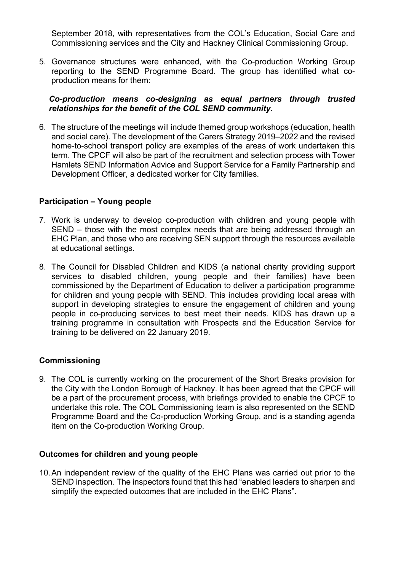September 2018, with representatives from the COL's Education, Social Care and Commissioning services and the City and Hackney Clinical Commissioning Group.

5. Governance structures were enhanced, with the Co-production Working Group reporting to the SEND Programme Board. The group has identified what coproduction means for them:

## *Co-production means co-designing as equal partners through trusted relationships for the benefit of the COL SEND community.*

6. The structure of the meetings will include themed group workshops (education, health and social care). The development of the Carers Strategy 2019–2022 and the revised home-to-school transport policy are examples of the areas of work undertaken this term. The CPCF will also be part of the recruitment and selection process with Tower Hamlets SEND Information Advice and Support Service for a Family Partnership and Development Officer, a dedicated worker for City families.

## **Participation – Young people**

- 7. Work is underway to develop co-production with children and young people with SEND – those with the most complex needs that are being addressed through an EHC Plan, and those who are receiving SEN support through the resources available at educational settings.
- 8. The Council for Disabled Children and KIDS (a national charity providing support services to disabled children, young people and their families) have been commissioned by the Department of Education to deliver a participation programme for children and young people with SEND. This includes providing local areas with support in developing strategies to ensure the engagement of children and young people in co-producing services to best meet their needs. KIDS has drawn up a training programme in consultation with Prospects and the Education Service for training to be delivered on 22 January 2019.

## **Commissioning**

9. The COL is currently working on the procurement of the Short Breaks provision for the City with the London Borough of Hackney. It has been agreed that the CPCF will be a part of the procurement process, with briefings provided to enable the CPCF to undertake this role. The COL Commissioning team is also represented on the SEND Programme Board and the Co-production Working Group, and is a standing agenda item on the Co-production Working Group.

## **Outcomes for children and young people**

10.An independent review of the quality of the EHC Plans was carried out prior to the SEND inspection. The inspectors found that this had "enabled leaders to sharpen and simplify the expected outcomes that are included in the EHC Plans".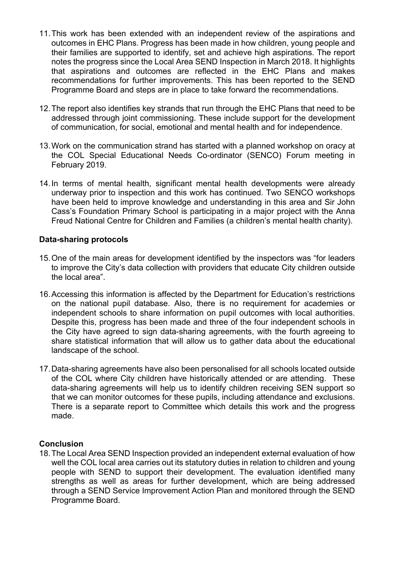- 11.This work has been extended with an independent review of the aspirations and outcomes in EHC Plans. Progress has been made in how children, young people and their families are supported to identify, set and achieve high aspirations. The report notes the progress since the Local Area SEND Inspection in March 2018. It highlights that aspirations and outcomes are reflected in the EHC Plans and makes recommendations for further improvements. This has been reported to the SEND Programme Board and steps are in place to take forward the recommendations.
- 12.The report also identifies key strands that run through the EHC Plans that need to be addressed through joint commissioning. These include support for the development of communication, for social, emotional and mental health and for independence.
- 13.Work on the communication strand has started with a planned workshop on oracy at the COL Special Educational Needs Co-ordinator (SENCO) Forum meeting in February 2019.
- 14.In terms of mental health, significant mental health developments were already underway prior to inspection and this work has continued. Two SENCO workshops have been held to improve knowledge and understanding in this area and Sir John Cass's Foundation Primary School is participating in a major project with the Anna Freud National Centre for Children and Families (a children's mental health charity).

## **Data-sharing protocols**

- 15.One of the main areas for development identified by the inspectors was "for leaders to improve the City's data collection with providers that educate City children outside the local area".
- 16.Accessing this information is affected by the Department for Education's restrictions on the national pupil database. Also, there is no requirement for academies or independent schools to share information on pupil outcomes with local authorities. Despite this, progress has been made and three of the four independent schools in the City have agreed to sign data-sharing agreements, with the fourth agreeing to share statistical information that will allow us to gather data about the educational landscape of the school.
- 17.Data-sharing agreements have also been personalised for all schools located outside of the COL where City children have historically attended or are attending. These data-sharing agreements will help us to identify children receiving SEN support so that we can monitor outcomes for these pupils, including attendance and exclusions. There is a separate report to Committee which details this work and the progress made.

## **Conclusion**

18.The Local Area SEND Inspection provided an independent external evaluation of how well the COL local area carries out its statutory duties in relation to children and young people with SEND to support their development. The evaluation identified many strengths as well as areas for further development, which are being addressed through a SEND Service Improvement Action Plan and monitored through the SEND Programme Board.